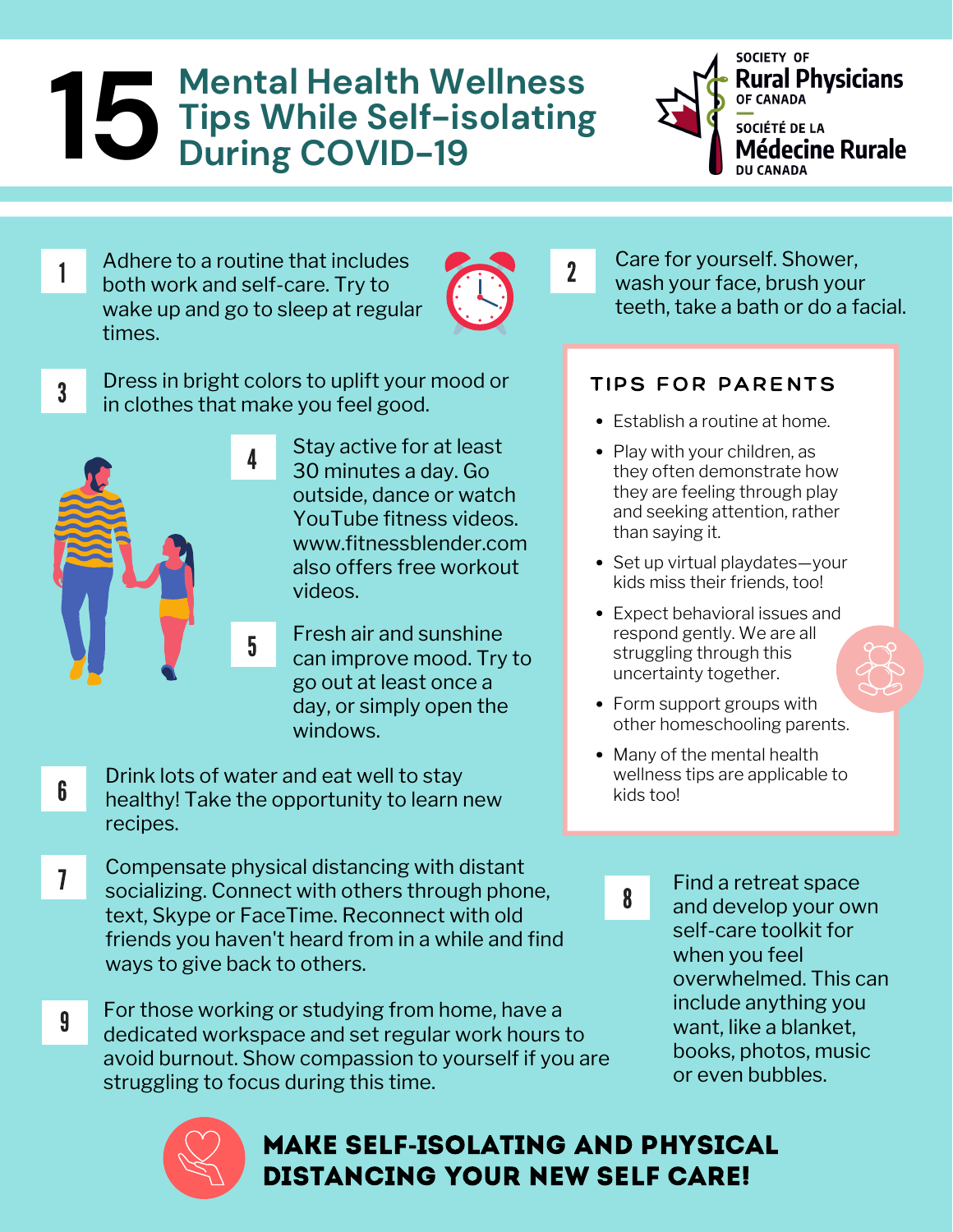# **Mental Health Wellness Tips While Self-isolating During COVID-19 15** Mental<br>Tips Wh<br>During (



Adhere to a routine that includes<br>
2<br>
2 both work and self-care. Try to wake up and go to sleep at regular times.



Dress in bright colors to uplift your mood or in clothes that make you feel good.



3

- Stay active for at least 30 minutes a day. Go outside, dance or watch YouTube fitness videos. www.fitnessblender.com also offers free workout videos.
- Fresh air and sunshine can improve mood. Try to go out at least once a day, or simply open the windows.
- Drink lots of water and eat well to stay healthy! Take the opportunity to learn new recipes. 6
- Compensate physical distancing with distant socializing. Connect with others through phone, text, Skype or FaceTime. Reconnect with old friends you haven't heard from in a while and find ways to give back to others. 7
- 9 For those working or studying from home, have a dedicated workspace and set regular work hours to avoid burnout. Show compassion to yourself if you are struggling to focus during this time.



# Make self**-**isolating and Physical distancing your new self care!

Care for yourself. Shower, wash your face, brush your teeth, take a bath or do a facial.

### TIPS FOR PARENTS

- Establish a routine at home.
- Play with your children, as they often demonstrate how they are feeling through play and seeking attention, rather than saying it.
- Set up virtual playdates-your kids miss their friends, too!
- Expect behavioral issues and respond gently. We are all struggling through this uncertainty together.
- Form support groups with other homeschooling parents.
- Many of the mental health wellness tips are applicable to kids too!

8

Find a retreat space and develop your own self-care toolkit for when you feel overwhelmed. This can include anything you want, like a blanket, books, photos, music or even bubbles.